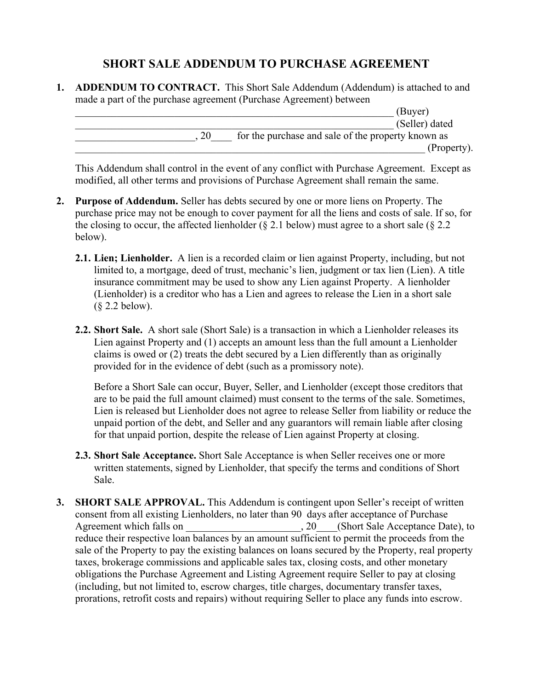## **SHORT SALE ADDENDUM TO PURCHASE AGREEMENT**

**1. ADDENDUM TO CONTRACT.** This Short Sale Addendum (Addendum) is attached to and made a part of the purchase agreement (Purchase Agreement) between

| (Buyer)                                            |
|----------------------------------------------------|
| (Seller) dated                                     |
| for the purchase and sale of the property known as |
| (Property).                                        |

This Addendum shall control in the event of any conflict with Purchase Agreement. Except as modified, all other terms and provisions of Purchase Agreement shall remain the same.

- **2. Purpose of Addendum.** Seller has debts secured by one or more liens on Property. The purchase price may not be enough to cover payment for all the liens and costs of sale. If so, for the closing to occur, the affected lienholder ( $\S$  2.1 below) must agree to a short sale ( $\S$  2.2 below).
	- **2.1. Lien; Lienholder.** A lien is a recorded claim or lien against Property, including, but not limited to, a mortgage, deed of trust, mechanic's lien, judgment or tax lien (Lien). A title insurance commitment may be used to show any Lien against Property. A lienholder (Lienholder) is a creditor who has a Lien and agrees to release the Lien in a short sale (§ 2.2 below).
	- **2.2. Short Sale.** A short sale (Short Sale) is a transaction in which a Lienholder releases its Lien against Property and (1) accepts an amount less than the full amount a Lienholder claims is owed or (2) treats the debt secured by a Lien differently than as originally provided for in the evidence of debt (such as a promissory note).

Before a Short Sale can occur, Buyer, Seller, and Lienholder (except those creditors that are to be paid the full amount claimed) must consent to the terms of the sale. Sometimes, Lien is released but Lienholder does not agree to release Seller from liability or reduce the unpaid portion of the debt, and Seller and any guarantors will remain liable after closing for that unpaid portion, despite the release of Lien against Property at closing.

- **2.3. Short Sale Acceptance.** Short Sale Acceptance is when Seller receives one or more written statements, signed by Lienholder, that specify the terms and conditions of Short Sale.
- **3. SHORT SALE APPROVAL.** This Addendum is contingent upon Seller's receipt of written consent from all existing Lienholders, no later than 90 days after acceptance of Purchase Agreement which falls on  $\qquad \qquad , 20 \qquad$  (Short Sale Acceptance Date), to reduce their respective loan balances by an amount sufficient to permit the proceeds from the sale of the Property to pay the existing balances on loans secured by the Property, real property taxes, brokerage commissions and applicable sales tax, closing costs, and other monetary obligations the Purchase Agreement and Listing Agreement require Seller to pay at closing (including, but not limited to, escrow charges, title charges, documentary transfer taxes, prorations, retrofit costs and repairs) without requiring Seller to place any funds into escrow.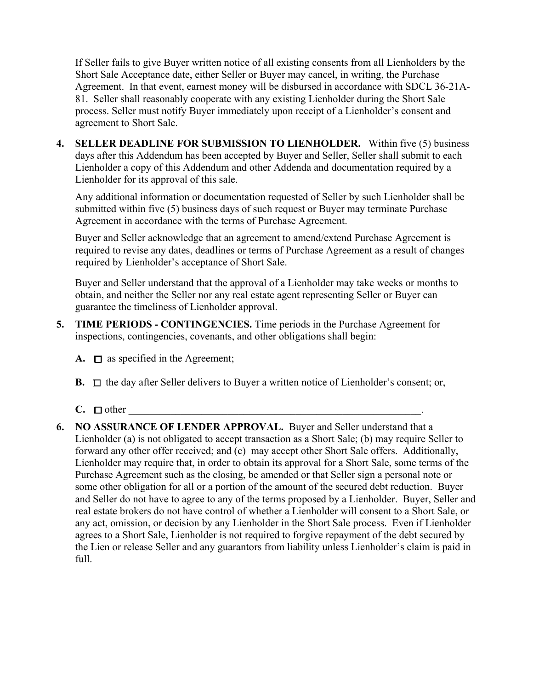If Seller fails to give Buyer written notice of all existing consents from all Lienholders by the Short Sale Acceptance date, either Seller or Buyer may cancel, in writing, the Purchase Agreement. In that event, earnest money will be disbursed in accordance with SDCL 36-21A-81. Seller shall reasonably cooperate with any existing Lienholder during the Short Sale process. Seller must notify Buyer immediately upon receipt of a Lienholder's consent and agreement to Short Sale.

**4. SELLER DEADLINE FOR SUBMISSION TO LIENHOLDER.** Within five (5) business days after this Addendum has been accepted by Buyer and Seller, Seller shall submit to each Lienholder a copy of this Addendum and other Addenda and documentation required by a Lienholder for its approval of this sale.

Any additional information or documentation requested of Seller by such Lienholder shall be submitted within five (5) business days of such request or Buyer may terminate Purchase Agreement in accordance with the terms of Purchase Agreement.

Buyer and Seller acknowledge that an agreement to amend/extend Purchase Agreement is required to revise any dates, deadlines or terms of Purchase Agreement as a result of changes required by Lienholder's acceptance of Short Sale.

Buyer and Seller understand that the approval of a Lienholder may take weeks or months to obtain, and neither the Seller nor any real estate agent representing Seller or Buyer can guarantee the timeliness of Lienholder approval.

- **5. TIME PERIODS - CONTINGENCIES.** Time periods in the Purchase Agreement for inspections, contingencies, covenants, and other obligations shall begin:
	- **A.**  $\Box$  as specified in the Agreement;
	- **B.** □ the day after Seller delivers to Buyer a written notice of Lienholder's consent; or,
	- $C. \Box$  other
- **6. NO ASSURANCE OF LENDER APPROVAL.** Buyer and Seller understand that a Lienholder (a) is not obligated to accept transaction as a Short Sale; (b) may require Seller to forward any other offer received; and (c) may accept other Short Sale offers. Additionally, Lienholder may require that, in order to obtain its approval for a Short Sale, some terms of the Purchase Agreement such as the closing, be amended or that Seller sign a personal note or some other obligation for all or a portion of the amount of the secured debt reduction. Buyer and Seller do not have to agree to any of the terms proposed by a Lienholder. Buyer, Seller and real estate brokers do not have control of whether a Lienholder will consent to a Short Sale, or any act, omission, or decision by any Lienholder in the Short Sale process. Even if Lienholder agrees to a Short Sale, Lienholder is not required to forgive repayment of the debt secured by the Lien or release Seller and any guarantors from liability unless Lienholder's claim is paid in full.